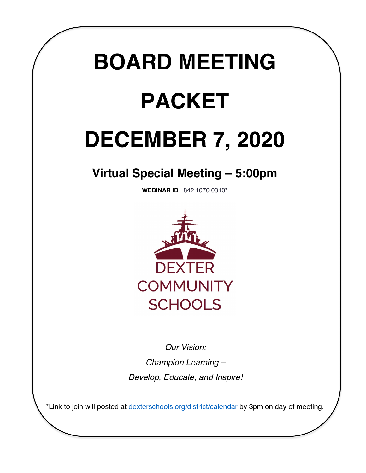# **BOARD MEETING PACKET**

## **DECEMBER 7, 2020**

### **Virtual Special Meeting – 5:00pm**

**WEBINAR ID** 842 1070 0310**\***



*Our Vision: Champion Learning – Develop, Educate, and Inspire!*

\*Link to join will posted at dexterschools.org/district/calendar by 3pm on day of meeting.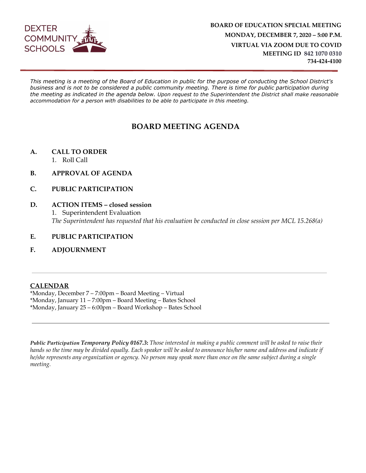

*This meeting is a meeting of the Board of Education in public for the purpose of conducting the School District's business and is not to be considered a public community meeting. There is time for public participation during the meeting as indicated in the agenda below. Upon request to the Superintendent the District shall make reasonable accommodation for a person with disabilities to be able to participate in this meeting.*

#### **BOARD MEETING AGENDA**

- **A. CALL TO ORDER**
	- 1. Roll Call
- **B. APPROVAL OF AGENDA**
- **C. PUBLIC PARTICIPATION**
- **D. ACTION ITEMS closed session** 1. Superintendent Evaluation *The Superintendent has requested that his evaluation be conducted in close session per MCL 15.268(a)*
- **E. PUBLIC PARTICIPATION**
- **F. ADJOURNMENT**

#### **CALENDAR**

\*Monday, December 7 – 7:00pm – Board Meeting – Virtual \*Monday, January 11 – 7:00pm – Board Meeting – Bates School \*Monday, January 25 – 6:00pm – Board Workshop – Bates School

*Public Participation Temporary Policy 0167.3***:** *Those interested in making a public comment will be asked to raise their hands so the time may be divided equally. Each speaker will be asked to announce his/her name and address and indicate if he/she represents any organization or agency. No person may speak more than once on the same subject during a single meeting.*